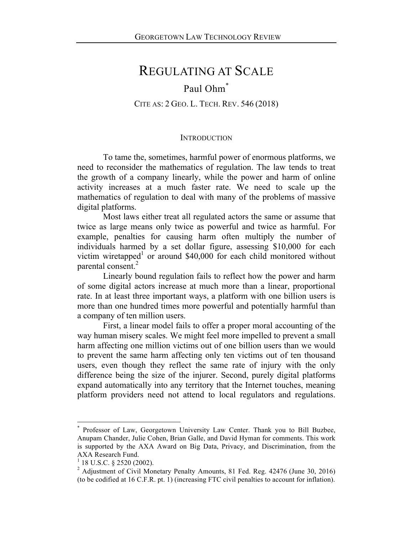# REGULATING AT SCALE

# Paul Ohm\*

CITE AS: 2 GEO. L. TECH. REV. 546 (2018)

### **INTRODUCTION**

To tame the, sometimes, harmful power of enormous platforms, we need to reconsider the mathematics of regulation. The law tends to treat the growth of a company linearly, while the power and harm of online activity increases at a much faster rate. We need to scale up the mathematics of regulation to deal with many of the problems of massive digital platforms.

Most laws either treat all regulated actors the same or assume that twice as large means only twice as powerful and twice as harmful. For example, penalties for causing harm often multiply the number of individuals harmed by a set dollar figure, assessing \$10,000 for each victim wiretapped<sup>1</sup> or around \$40,000 for each child monitored without parental consent.<sup>2</sup>

Linearly bound regulation fails to reflect how the power and harm of some digital actors increase at much more than a linear, proportional rate. In at least three important ways, a platform with one billion users is more than one hundred times more powerful and potentially harmful than a company of ten million users.

First, a linear model fails to offer a proper moral accounting of the way human misery scales. We might feel more impelled to prevent a small harm affecting one million victims out of one billion users than we would to prevent the same harm affecting only ten victims out of ten thousand users, even though they reflect the same rate of injury with the only difference being the size of the injurer. Second, purely digital platforms expand automatically into any territory that the Internet touches, meaning platform providers need not attend to local regulators and regulations.

Professor of Law, Georgetown University Law Center. Thank you to Bill Buzbee, Anupam Chander, Julie Cohen, Brian Galle, and David Hyman for comments. This work is supported by the AXA Award on Big Data, Privacy, and Discrimination, from the AXA Research Fund.

 $1$  18 U.S.C. § 2520 (2002).

<sup>&</sup>lt;sup>2</sup> Adjustment of Civil Monetary Penalty Amounts, 81 Fed. Reg. 42476 (June 30, 2016) (to be codified at 16 C.F.R. pt. 1) (increasing FTC civil penalties to account for inflation).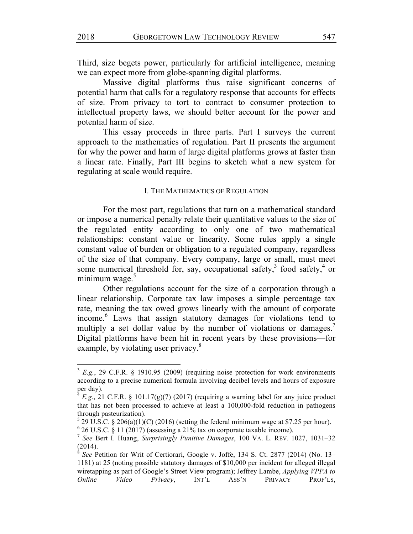Third, size begets power, particularly for artificial intelligence, meaning we can expect more from globe-spanning digital platforms.

Massive digital platforms thus raise significant concerns of potential harm that calls for a regulatory response that accounts for effects of size. From privacy to tort to contract to consumer protection to intellectual property laws, we should better account for the power and potential harm of size.

This essay proceeds in three parts. Part I surveys the current approach to the mathematics of regulation. Part II presents the argument for why the power and harm of large digital platforms grows at faster than a linear rate. Finally, Part III begins to sketch what a new system for regulating at scale would require.

#### I. THE MATHEMATICS OF REGULATION

For the most part, regulations that turn on a mathematical standard or impose a numerical penalty relate their quantitative values to the size of the regulated entity according to only one of two mathematical relationships: constant value or linearity. Some rules apply a single constant value of burden or obligation to a regulated company, regardless of the size of that company. Every company, large or small, must meet some numerical threshold for, say, occupational safety, $3$  food safety, $4$  or minimum wage. $5$ 

Other regulations account for the size of a corporation through a linear relationship. Corporate tax law imposes a simple percentage tax rate, meaning the tax owed grows linearly with the amount of corporate income.<sup>6</sup> Laws that assign statutory damages for violations tend to multiply a set dollar value by the number of violations or damages.<sup>7</sup> Digital platforms have been hit in recent years by these provisions—for example, by violating user privacy.<sup>8</sup>

 $3 E.g., 29 C.F.R. \S 1910.95 (2009)$  (requiring noise protection for work environments according to a precise numerical formula involving decibel levels and hours of exposure per day).

*E.g.*, 21 C.F.R. § 101.17(g)(7) (2017) (requiring a warning label for any juice product that has not been processed to achieve at least a 100,000-fold reduction in pathogens through pasteurization).

 $5$  29 U.S.C. § 206(a)(1)(C) (2016) (setting the federal minimum wage at \$7.25 per hour).

 $6$  26 U.S.C. § 11 (2017) (assessing a 21% tax on corporate taxable income).

<sup>7</sup> *See* Bert I. Huang, *Surprisingly Punitive Damages*, 100 VA. L. REV. 1027, 1031–32 (2014).

<sup>8</sup> *See* Petition for Writ of Certiorari, Google v. Joffe, 134 S. Ct. 2877 (2014) (No. 13– 1181) at 25 (noting possible statutory damages of \$10,000 per incident for alleged illegal wiretapping as part of Google's Street View program); Jeffrey Lambe, *Applying VPPA to Online Video Privacy*, INT'L ASS'N PRIVACY PROF'LS,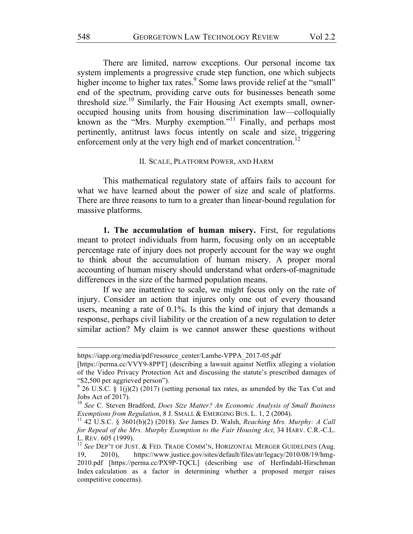There are limited, narrow exceptions. Our personal income tax system implements a progressive crude step function, one which subjects higher income to higher tax rates.<sup>9</sup> Some laws provide relief at the "small" end of the spectrum, providing carve outs for businesses beneath some threshold size.<sup>10</sup> Similarly, the Fair Housing Act exempts small, owneroccupied housing units from housing discrimination law—colloquially known as the "Mrs. Murphy exemption."<sup>11</sup> Finally, and perhaps most pertinently, antitrust laws focus intently on scale and size, triggering enforcement only at the very high end of market concentration.<sup>12</sup>

#### II. SCALE, PLATFORM POWER, AND HARM

This mathematical regulatory state of affairs fails to account for what we have learned about the power of size and scale of platforms. There are three reasons to turn to a greater than linear-bound regulation for massive platforms.

**1. The accumulation of human misery.** First, for regulations meant to protect individuals from harm, focusing only on an acceptable percentage rate of injury does not properly account for the way we ought to think about the accumulation of human misery. A proper moral accounting of human misery should understand what orders-of-magnitude differences in the size of the harmed population means.

If we are inattentive to scale, we might focus only on the rate of injury. Consider an action that injures only one out of every thousand users, meaning a rate of 0.1%. Is this the kind of injury that demands a response, perhaps civil liability or the creation of a new regulation to deter similar action? My claim is we cannot answer these questions without

<u> 1989 - Andrea Santa Andrea Andrea Andrea Andrea Andrea Andrea Andrea Andrea Andrea Andrea Andrea Andrea Andr</u>

https://iapp.org/media/pdf/resource\_center/Lambe-VPPA\_2017-05.pdf

<sup>[</sup>https://perma.cc/VVY9-8PPT] (describing a lawsuit against Netflix alleging a violation of the Video Privacy Protection Act and discussing the statute's prescribed damages of "\$2,500 per aggrieved person").

 $9$  26 U.S.C. § 1(j)(2) (2017) (setting personal tax rates, as amended by the Tax Cut and Jobs Act of 2017).

<sup>10</sup> *See* C. Steven Bradford, *Does Size Matter? An Economic Analysis of Small Business Exemptions from Regulation*, 8 J. SMALL & EMERGING BUS. L. 1, 2 (2004).

<sup>11</sup> 42 U.S.C. § 3601(b)(2) (2018). *See* James D. Walsh, *Reaching Mrs. Murphy: A Call for Repeal of the Mrs. Murphy Exemption to the Fair Housing Act*, 34 HARV. C.R.-C.L. L. REV. 605 (1999).

<sup>12</sup> *See* DEP'T OF JUST. & FED. TRADE COMM'N, HORIZONTAL MERGER GUIDELINES (Aug. 19, 2010), https://www.justice.gov/sites/default/files/atr/legacy/2010/08/19/hmg-2010.pdf [https://perma.cc/PX9P-TQCL] (describing use of Herfindahl-Hirschman Index calculation as a factor in determining whether a proposed merger raises competitive concerns).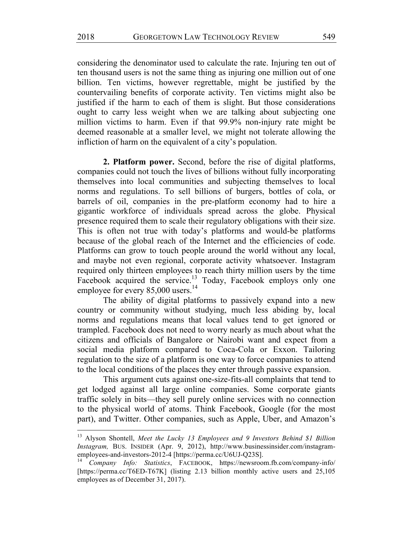considering the denominator used to calculate the rate. Injuring ten out of ten thousand users is not the same thing as injuring one million out of one billion. Ten victims, however regrettable, might be justified by the countervailing benefits of corporate activity. Ten victims might also be justified if the harm to each of them is slight. But those considerations ought to carry less weight when we are talking about subjecting one million victims to harm. Even if that 99.9% non-injury rate might be deemed reasonable at a smaller level, we might not tolerate allowing the infliction of harm on the equivalent of a city's population.

**2. Platform power.** Second, before the rise of digital platforms, companies could not touch the lives of billions without fully incorporating themselves into local communities and subjecting themselves to local norms and regulations. To sell billions of burgers, bottles of cola, or barrels of oil, companies in the pre-platform economy had to hire a gigantic workforce of individuals spread across the globe. Physical presence required them to scale their regulatory obligations with their size. This is often not true with today's platforms and would-be platforms because of the global reach of the Internet and the efficiencies of code. Platforms can grow to touch people around the world without any local, and maybe not even regional, corporate activity whatsoever. Instagram required only thirteen employees to reach thirty million users by the time Facebook acquired the service.<sup>13</sup> Today, Facebook employs only one employee for every 85,000 users.<sup>14</sup>

The ability of digital platforms to passively expand into a new country or community without studying, much less abiding by, local norms and regulations means that local values tend to get ignored or trampled. Facebook does not need to worry nearly as much about what the citizens and officials of Bangalore or Nairobi want and expect from a social media platform compared to Coca-Cola or Exxon. Tailoring regulation to the size of a platform is one way to force companies to attend to the local conditions of the places they enter through passive expansion.

This argument cuts against one-size-fits-all complaints that tend to get lodged against all large online companies. Some corporate giants traffic solely in bits—they sell purely online services with no connection to the physical world of atoms. Think Facebook, Google (for the most part), and Twitter. Other companies, such as Apple, Uber, and Amazon's

<sup>13</sup> Alyson Shontell, *Meet the Lucky 13 Employees and 9 Investors Behind \$1 Billion Instagram,* BUS. INSIDER (Apr. 9, 2012), http://www.businessinsider.com/instagramemployees-and-investors-2012-4 [https://perma.cc/U6UJ-Q23S].

<sup>14</sup> *Company Info: Statistics*, FACEBOOK, https://newsroom.fb.com/company-info/ [https://perma.cc/T6ED-T67K] (listing 2.13 billion monthly active users and 25,105 employees as of December 31, 2017).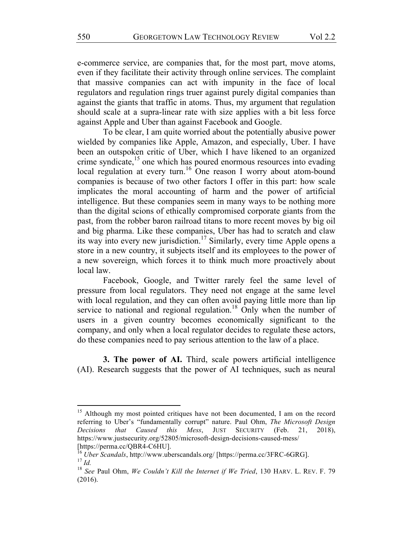e-commerce service, are companies that, for the most part, move atoms, even if they facilitate their activity through online services. The complaint that massive companies can act with impunity in the face of local regulators and regulation rings truer against purely digital companies than against the giants that traffic in atoms. Thus, my argument that regulation should scale at a supra-linear rate with size applies with a bit less force against Apple and Uber than against Facebook and Google.

To be clear, I am quite worried about the potentially abusive power wielded by companies like Apple, Amazon, and especially, Uber. I have been an outspoken critic of Uber, which I have likened to an organized crime syndicate,<sup>15</sup> one which has poured enormous resources into evading local regulation at every turn.<sup>16</sup> One reason I worry about atom-bound companies is because of two other factors I offer in this part: how scale implicates the moral accounting of harm and the power of artificial intelligence. But these companies seem in many ways to be nothing more than the digital scions of ethically compromised corporate giants from the past, from the robber baron railroad titans to more recent moves by big oil and big pharma. Like these companies, Uber has had to scratch and claw its way into every new jurisdiction.<sup>17</sup> Similarly, every time Apple opens a store in a new country, it subjects itself and its employees to the power of a new sovereign, which forces it to think much more proactively about local law.

Facebook, Google, and Twitter rarely feel the same level of pressure from local regulators. They need not engage at the same level with local regulation, and they can often avoid paying little more than lip service to national and regional regulation.<sup>18</sup> Only when the number of users in a given country becomes economically significant to the company, and only when a local regulator decides to regulate these actors, do these companies need to pay serious attention to the law of a place.

**3. The power of AI.** Third, scale powers artificial intelligence (AI). Research suggests that the power of AI techniques, such as neural

<sup>&</sup>lt;sup>15</sup> Although my most pointed critiques have not been documented, I am on the record referring to Uber's "fundamentally corrupt" nature. Paul Ohm, *The Microsoft Design Decisions that Caused this Mess*, JUST SECURITY (Feb. 21, 2018), https://www.justsecurity.org/52805/microsoft-design-decisions-caused-mess/ [https://perma.cc/QBR4-C6HU].

<sup>16</sup> *Uber Scandals*, http://www.uberscandals.org/ [https://perma.cc/3FRC-6GRG]. <sup>17</sup> *Id.*

<sup>18</sup> *See* Paul Ohm, *We Couldn't Kill the Internet if We Tried*, 130 HARV. L. REV. F. 79 (2016).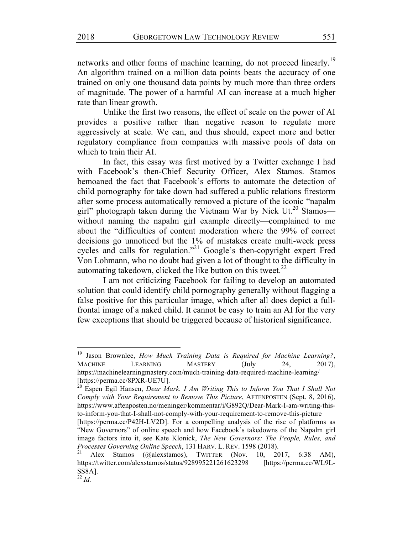networks and other forms of machine learning, do not proceed linearly.<sup>19</sup> An algorithm trained on a million data points beats the accuracy of one trained on only one thousand data points by much more than three orders of magnitude. The power of a harmful AI can increase at a much higher rate than linear growth.

Unlike the first two reasons, the effect of scale on the power of AI provides a positive rather than negative reason to regulate more aggressively at scale. We can, and thus should, expect more and better regulatory compliance from companies with massive pools of data on which to train their AI.

In fact, this essay was first motived by a Twitter exchange I had with Facebook's then-Chief Security Officer, Alex Stamos. Stamos bemoaned the fact that Facebook's efforts to automate the detection of child pornography for take down had suffered a public relations firestorm after some process automatically removed a picture of the iconic "napalm girl" photograph taken during the Vietnam War by Nick Ut.<sup>20</sup> Stamos without naming the napalm girl example directly—complained to me about the "difficulties of content moderation where the 99% of correct decisions go unnoticed but the 1% of mistakes create multi-week press cycles and calls for regulation."21 Google's then-copyright expert Fred Von Lohmann, who no doubt had given a lot of thought to the difficulty in automating takedown, clicked the like button on this tweet. $^{22}$ 

I am not criticizing Facebook for failing to develop an automated solution that could identify child pornography generally without flagging a false positive for this particular image, which after all does depict a fullfrontal image of a naked child. It cannot be easy to train an AI for the very few exceptions that should be triggered because of historical significance.

<sup>19</sup> Jason Brownlee, *How Much Training Data is Required for Machine Learning?*, MACHINE LEARNING MASTERY (July 24, 2017), https://machinelearningmastery.com/much-training-data-required-machine-learning/ [https://perma.cc/8PXR-UE7U].

<sup>&</sup>lt;sup>20</sup> Espen Egil Hansen, *Dear Mark. I Am Writing This to Inform You That I Shall Not* <sup>20</sup> *Comply with Your Requirement to Remove This Picture*, AFTENPOSTEN (Sept. 8, 2016), https://www.aftenposten.no/meninger/kommentar/i/G892Q/Dear-Mark-I-am-writing-thisto-inform-you-that-I-shall-not-comply-with-your-requirement-to-remove-this-picture [https://perma.cc/P42H-LV2D]. For a compelling analysis of the rise of platforms as "New Governors" of online speech and how Facebook's takedowns of the Napalm girl image factors into it, see Kate Klonick, *The New Governors: The People, Rules, and* 

*Processes Governing Online Speech*, 131 HARV. L. REV. 1598 (2018). Alex Stamos (@alexstamos), TWITTER (Nov. 10, 2017, 6:38 AM),

https://twitter.com/alexstamos/status/928995221261623298 [https://perma.cc/WL9L-SS8A].

 $^{22}$  *Id.*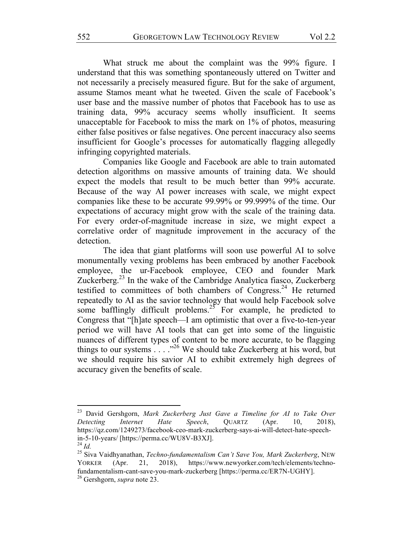What struck me about the complaint was the 99% figure. I understand that this was something spontaneously uttered on Twitter and not necessarily a precisely measured figure. But for the sake of argument, assume Stamos meant what he tweeted. Given the scale of Facebook's user base and the massive number of photos that Facebook has to use as training data, 99% accuracy seems wholly insufficient. It seems unacceptable for Facebook to miss the mark on 1% of photos, measuring either false positives or false negatives. One percent inaccuracy also seems insufficient for Google's processes for automatically flagging allegedly infringing copyrighted materials.

Companies like Google and Facebook are able to train automated detection algorithms on massive amounts of training data. We should expect the models that result to be much better than 99% accurate. Because of the way AI power increases with scale, we might expect companies like these to be accurate 99.99% or 99.999% of the time. Our expectations of accuracy might grow with the scale of the training data. For every order-of-magnitude increase in size, we might expect a correlative order of magnitude improvement in the accuracy of the detection.

The idea that giant platforms will soon use powerful AI to solve monumentally vexing problems has been embraced by another Facebook employee, the ur-Facebook employee, CEO and founder Mark Zuckerberg.<sup>23</sup> In the wake of the Cambridge Analytica fiasco, Zuckerberg testified to committees of both chambers of Congress.<sup>24</sup> He returned repeatedly to AI as the savior technology that would help Facebook solve some bafflingly difficult problems.<sup>25</sup> For example, he predicted to Congress that "[h]ate speech—I am optimistic that over a five-to-ten-year period we will have AI tools that can get into some of the linguistic nuances of different types of content to be more accurate, to be flagging things to our systems  $\ldots$  ."<sup>26</sup> We should take Zuckerberg at his word, but we should require his savior AI to exhibit extremely high degrees of accuracy given the benefits of scale.

<sup>23</sup> David Gershgorn, *Mark Zuckerberg Just Gave a Timeline for AI to Take Over Detecting Internet Hate Speech*, QUARTZ (Apr. 10, 2018), https://qz.com/1249273/facebook-ceo-mark-zuckerberg-says-ai-will-detect-hate-speechin-5-10-years/ [https://perma.cc/WU8V-B3XJ].

<sup>24</sup> *Id.*

<sup>25</sup> Siva Vaidhyanathan, *Techno-fundamentalism Can't Save You, Mark Zuckerberg*, NEW YORKER (Apr. 21, 2018), https://www.newyorker.com/tech/elements/technofundamentalism-cant-save-you-mark-zuckerberg [https://perma.cc/ER7N-UGHY].

<sup>26</sup> Gershgorn, *supra* note 23.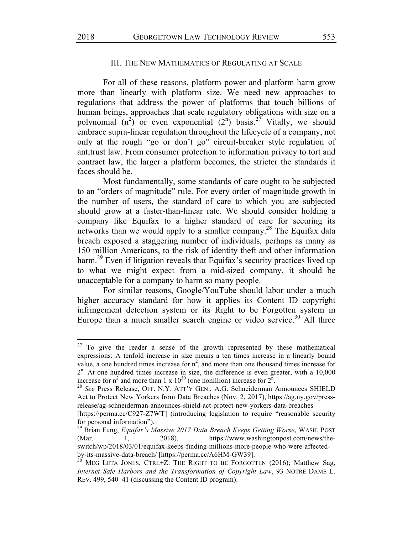## III. THE NEW MATHEMATICS OF REGULATING AT SCALE

For all of these reasons, platform power and platform harm grow more than linearly with platform size. We need new approaches to regulations that address the power of platforms that touch billions of human beings, approaches that scale regulatory obligations with size on a polynomial  $(n^2)$  or even exponential  $(2^n)$  basis.<sup>27</sup> Vitally, we should embrace supra-linear regulation throughout the lifecycle of a company, not only at the rough "go or don't go" circuit-breaker style regulation of antitrust law. From consumer protection to information privacy to tort and contract law, the larger a platform becomes, the stricter the standards it faces should be.

Most fundamentally, some standards of care ought to be subjected to an "orders of magnitude" rule. For every order of magnitude growth in the number of users, the standard of care to which you are subjected should grow at a faster-than-linear rate. We should consider holding a company like Equifax to a higher standard of care for securing its networks than we would apply to a smaller company.<sup>28</sup> The Equifax data breach exposed a staggering number of individuals, perhaps as many as 150 million Americans, to the risk of identity theft and other information harm.<sup>29</sup> Even if litigation reveals that Equifax's security practices lived up to what we might expect from a mid-sized company, it should be unacceptable for a company to harm so many people.

For similar reasons, Google/YouTube should labor under a much higher accuracy standard for how it applies its Content ID copyright infringement detection system or its Right to be Forgotten system in Europe than a much smaller search engine or video service.<sup>30</sup> All three

 $27$  To give the reader a sense of the growth represented by these mathematical expressions: A tenfold increase in size means a ten times increase in a linearly bound value, a one hundred times increase for  $n^2$ , and more than one thousand times increase for  $2<sup>n</sup>$ . At one hundred times increase in size, the difference is even greater, with a 10,000 increase for  $n^2$  and more than 1 x 10<sup>30</sup> (one nonillion) increase for  $2^n$ .

<sup>&</sup>lt;sup>28</sup> See Press Release, OFF. N.Y. ATT'Y GEN., A.G. Schneiderman Announces SHIELD Act to Protect New Yorkers from Data Breaches (Nov. 2, 2017), https://ag.ny.gov/pressrelease/ag-schneiderman-announces-shield-act-protect-new-yorkers-data-breaches

<sup>[</sup>https://perma.cc/C927-Z7WT] (introducing legislation to require "reasonable security for personal information").

<sup>29</sup> Brian Fung, *Equifax's Massive 2017 Data Breach Keeps Getting Worse*, WASH. POST (Mar. 1, 2018), https://www.washingtonpost.com/news/theswitch/wp/2018/03/01/equifax-keeps-finding-millions-more-people-who-were-affectedby-its-massive-data-breach/ [https://perma.cc/A6HM-GW39].

 $30$  MEG LETA JONES, CTRL+Z: THE RIGHT TO BE FORGOTTEN (2016); Matthew Sag, *Internet Safe Harbors and the Transformation of Copyright Law*, 93 NOTRE DAME L. REV. 499, 540–41 (discussing the Content ID program).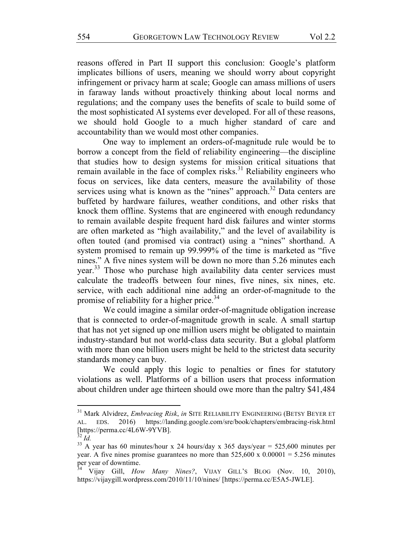reasons offered in Part II support this conclusion: Google's platform implicates billions of users, meaning we should worry about copyright infringement or privacy harm at scale; Google can amass millions of users in faraway lands without proactively thinking about local norms and regulations; and the company uses the benefits of scale to build some of the most sophisticated AI systems ever developed. For all of these reasons, we should hold Google to a much higher standard of care and accountability than we would most other companies.

One way to implement an orders-of-magnitude rule would be to borrow a concept from the field of reliability engineering—the discipline that studies how to design systems for mission critical situations that remain available in the face of complex risks. $31$  Reliability engineers who focus on services, like data centers, measure the availability of those services using what is known as the "nines" approach.<sup>32</sup> Data centers are buffeted by hardware failures, weather conditions, and other risks that knock them offline. Systems that are engineered with enough redundancy to remain available despite frequent hard disk failures and winter storms are often marketed as "high availability," and the level of availability is often touted (and promised via contract) using a "nines" shorthand. A system promised to remain up 99.999% of the time is marketed as "five nines." A five nines system will be down no more than 5.26 minutes each year.<sup>33</sup> Those who purchase high availability data center services must calculate the tradeoffs between four nines, five nines, six nines, etc. service, with each additional nine adding an order-of-magnitude to the promise of reliability for a higher price.<sup>34</sup>

We could imagine a similar order-of-magnitude obligation increase that is connected to order-of-magnitude growth in scale. A small startup that has not yet signed up one million users might be obligated to maintain industry-standard but not world-class data security. But a global platform with more than one billion users might be held to the strictest data security standards money can buy.

We could apply this logic to penalties or fines for statutory violations as well. Platforms of a billion users that process information about children under age thirteen should owe more than the paltry \$41,484

<sup>31</sup> Mark Alvidrez, *Embracing Risk*, *in* SITE RELIABILITY ENGINEERING (BETSY BEYER ET AL. EDS. 2016) https://landing.google.com/sre/book/chapters/embracing-risk.html [https://perma.cc/4L6W-9YVB]. <sup>32</sup> *Id.*

<sup>&</sup>lt;sup>33</sup> A year has 60 minutes/hour x 24 hours/day x 365 days/year = 525,600 minutes per year. A five nines promise guarantees no more than  $525,600 \times 0.00001 = 5.256$  minutes per year of downtime.

<sup>34</sup> Vijay Gill, *How Many Nines?*, VIJAY GILL'S BLOG (Nov. 10, 2010), https://vijaygill.wordpress.com/2010/11/10/nines/ [https://perma.cc/E5A5-JWLE].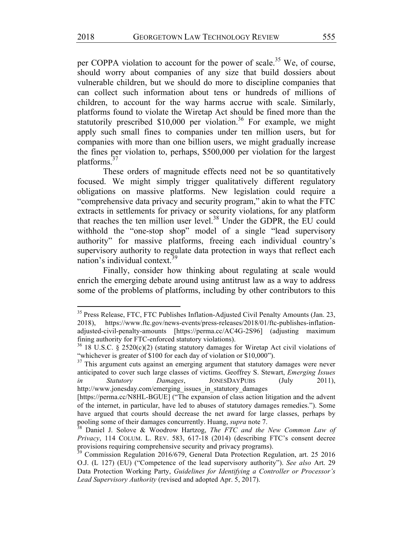per COPPA violation to account for the power of scale.<sup>35</sup> We, of course, should worry about companies of any size that build dossiers about vulnerable children, but we should do more to discipline companies that can collect such information about tens or hundreds of millions of children, to account for the way harms accrue with scale. Similarly, platforms found to violate the Wiretap Act should be fined more than the statutorily prescribed \$10,000 per violation.<sup>36</sup> For example, we might apply such small fines to companies under ten million users, but for companies with more than one billion users, we might gradually increase the fines per violation to, perhaps, \$500,000 per violation for the largest platforms.37

These orders of magnitude effects need not be so quantitatively focused. We might simply trigger qualitatively different regulatory obligations on massive platforms. New legislation could require a "comprehensive data privacy and security program," akin to what the FTC extracts in settlements for privacy or security violations, for any platform that reaches the ten million user level.38 Under the GDPR, the EU could withhold the "one-stop shop" model of a single "lead supervisory authority" for massive platforms, freeing each individual country's supervisory authority to regulate data protection in ways that reflect each nation's individual context.<sup>39</sup>

Finally, consider how thinking about regulating at scale would enrich the emerging debate around using antitrust law as a way to address some of the problems of platforms, including by other contributors to this

<sup>&</sup>lt;sup>35</sup> Press Release, FTC, FTC Publishes Inflation-Adjusted Civil Penalty Amounts (Jan. 23, 2018), https://www.ftc.gov/news-events/press-releases/2018/01/ftc-publishes-inflationadjusted-civil-penalty-amounts [https://perma.cc/AC4G-2S96] (adjusting maximum fining authority for FTC-enforced statutory violations).

 $36$  18 U.S.C. § 2520(c)(2) (stating statutory damages for Wiretap Act civil violations of "whichever is greater of \$100 for each day of violation or \$10,000").

<sup>&</sup>lt;sup>37</sup> This argument cuts against an emerging argument that statutory damages were never anticipated to cover such large classes of victims. Geoffrey S. Stewart, *Emerging Issues in Statutory Damages*, JONESDAYPUBS (July 2011), http://www.jonesday.com/emerging\_issues\_in\_statutory\_damages

<sup>[</sup>https://perma.cc/N8HL-BGUE] ("The expansion of class action litigation and the advent of the internet, in particular, have led to abuses of statutory damages remedies."). Some have argued that courts should decrease the net award for large classes, perhaps by pooling some of their damages concurrently. Huang, *supra* note 7.

<sup>38</sup> Daniel J. Solove & Woodrow Hartzog, *The FTC and the New Common Law of Privacy*, 114 COLUM. L. REV. 583, 617-18 (2014) (describing FTC's consent decree provisions requiring comprehensive security and privacy programs).

<sup>&</sup>lt;sup>39</sup> Commission Regulation 2016/679, General Data Protection Regulation, art. 25 2016 O.J. (L 127) (EU) ("Competence of the lead supervisory authority"). *See also* Art. 29 Data Protection Working Party, *Guidelines for Identifying a Controller or Processor's Lead Supervisory Authority* (revised and adopted Apr. 5, 2017).